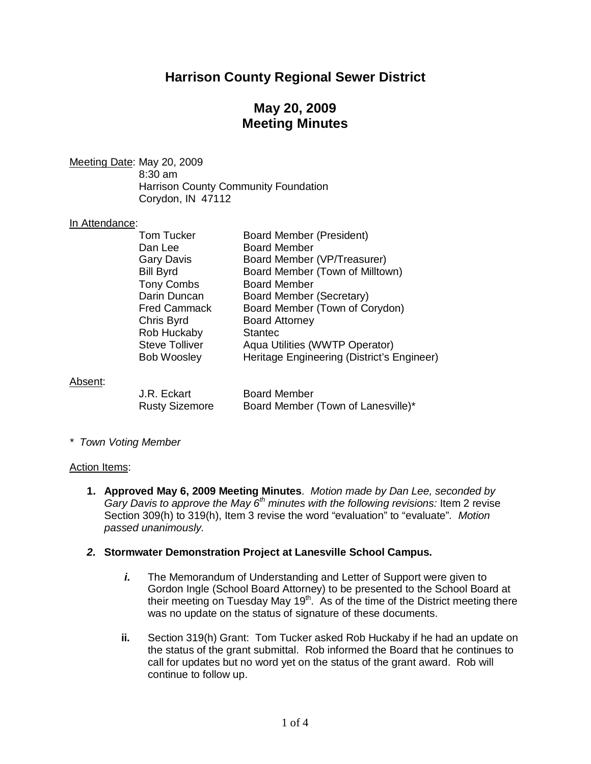# **Harrison County Regional Sewer District**

# **May 20, 2009 Meeting Minutes**

Meeting Date: May 20, 2009 8:30 am Harrison County Community Foundation Corydon, IN 47112

#### In Attendance:

| <b>Tom Tucker</b>     | <b>Board Member (President)</b>            |
|-----------------------|--------------------------------------------|
| Dan Lee               | <b>Board Member</b>                        |
| <b>Gary Davis</b>     | Board Member (VP/Treasurer)                |
| <b>Bill Byrd</b>      | Board Member (Town of Milltown)            |
| <b>Tony Combs</b>     | <b>Board Member</b>                        |
| Darin Duncan          | Board Member (Secretary)                   |
| <b>Fred Cammack</b>   | Board Member (Town of Corydon)             |
| Chris Byrd            | <b>Board Attorney</b>                      |
| Rob Huckaby           | <b>Stantec</b>                             |
| <b>Steve Tolliver</b> | Aqua Utilities (WWTP Operator)             |
| <b>Bob Woosley</b>    | Heritage Engineering (District's Engineer) |
|                       |                                            |
|                       |                                            |
|                       |                                            |

#### Absent:

| J.R. Eckart           | <b>Board Member</b>                |
|-----------------------|------------------------------------|
| <b>Rusty Sizemore</b> | Board Member (Town of Lanesville)* |

*\* Town Voting Member*

#### Action Items:

**1. Approved May 6, 2009 Meeting Minutes**. *Motion made by Dan Lee, seconded by Gary Davis to approve the May 6th minutes with the following revisions:* Item 2 revise Section 309(h) to 319(h), Item 3 revise the word "evaluation" to "evaluate"*. Motion passed unanimously.*

### *2.* **Stormwater Demonstration Project at Lanesville School Campus.**

- *i.* The Memorandum of Understanding and Letter of Support were given to Gordon Ingle (School Board Attorney) to be presented to the School Board at their meeting on Tuesday May  $19<sup>th</sup>$ . As of the time of the District meeting there was no update on the status of signature of these documents.
- **ii.** Section 319(h) Grant: Tom Tucker asked Rob Huckaby if he had an update on the status of the grant submittal. Rob informed the Board that he continues to call for updates but no word yet on the status of the grant award. Rob will continue to follow up.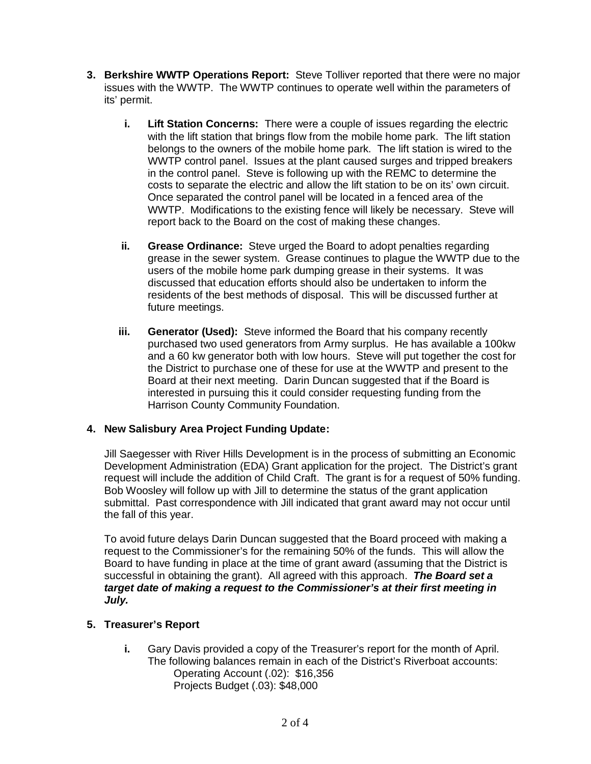- **3. Berkshire WWTP Operations Report:** Steve Tolliver reported that there were no major issues with the WWTP. The WWTP continues to operate well within the parameters of its' permit.
	- **i. Lift Station Concerns:** There were a couple of issues regarding the electric with the lift station that brings flow from the mobile home park. The lift station belongs to the owners of the mobile home park. The lift station is wired to the WWTP control panel. Issues at the plant caused surges and tripped breakers in the control panel. Steve is following up with the REMC to determine the costs to separate the electric and allow the lift station to be on its' own circuit. Once separated the control panel will be located in a fenced area of the WWTP. Modifications to the existing fence will likely be necessary. Steve will report back to the Board on the cost of making these changes.
	- **ii. Grease Ordinance:** Steve urged the Board to adopt penalties regarding grease in the sewer system. Grease continues to plague the WWTP due to the users of the mobile home park dumping grease in their systems. It was discussed that education efforts should also be undertaken to inform the residents of the best methods of disposal. This will be discussed further at future meetings.
	- **iii. Generator (Used):** Steve informed the Board that his company recently purchased two used generators from Army surplus. He has available a 100kw and a 60 kw generator both with low hours. Steve will put together the cost for the District to purchase one of these for use at the WWTP and present to the Board at their next meeting. Darin Duncan suggested that if the Board is interested in pursuing this it could consider requesting funding from the Harrison County Community Foundation.

## **4. New Salisbury Area Project Funding Update:**

Jill Saegesser with River Hills Development is in the process of submitting an Economic Development Administration (EDA) Grant application for the project. The District's grant request will include the addition of Child Craft. The grant is for a request of 50% funding. Bob Woosley will follow up with Jill to determine the status of the grant application submittal. Past correspondence with Jill indicated that grant award may not occur until the fall of this year.

To avoid future delays Darin Duncan suggested that the Board proceed with making a request to the Commissioner's for the remaining 50% of the funds. This will allow the Board to have funding in place at the time of grant award (assuming that the District is successful in obtaining the grant). All agreed with this approach. *The Board set a target date of making a request to the Commissioner's at their first meeting in July.*

## **5. Treasurer's Report**

**i.** Gary Davis provided a copy of the Treasurer's report for the month of April. The following balances remain in each of the District's Riverboat accounts: Operating Account (.02): \$16,356 Projects Budget (.03): \$48,000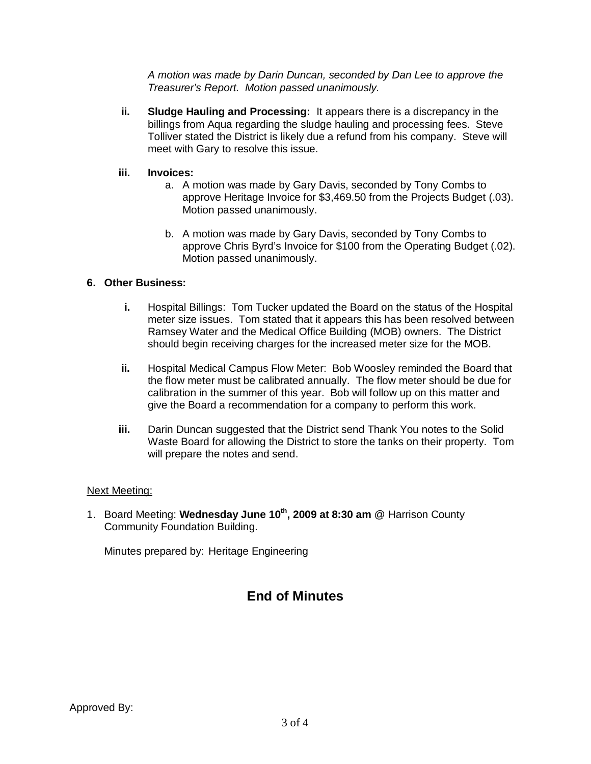*A motion was made by Darin Duncan, seconded by Dan Lee to approve the Treasurer's Report. Motion passed unanimously.*

**ii. Sludge Hauling and Processing:** It appears there is a discrepancy in the billings from Aqua regarding the sludge hauling and processing fees. Steve Tolliver stated the District is likely due a refund from his company. Steve will meet with Gary to resolve this issue.

### **iii. Invoices:**

- a. A motion was made by Gary Davis, seconded by Tony Combs to approve Heritage Invoice for \$3,469.50 from the Projects Budget (.03). Motion passed unanimously.
- b. A motion was made by Gary Davis, seconded by Tony Combs to approve Chris Byrd's Invoice for \$100 from the Operating Budget (.02). Motion passed unanimously.

## **6. Other Business:**

- **i.** Hospital Billings: Tom Tucker updated the Board on the status of the Hospital meter size issues. Tom stated that it appears this has been resolved between Ramsey Water and the Medical Office Building (MOB) owners. The District should begin receiving charges for the increased meter size for the MOB.
- **ii.** Hospital Medical Campus Flow Meter: Bob Woosley reminded the Board that the flow meter must be calibrated annually. The flow meter should be due for calibration in the summer of this year. Bob will follow up on this matter and give the Board a recommendation for a company to perform this work.
- **iii.** Darin Duncan suggested that the District send Thank You notes to the Solid Waste Board for allowing the District to store the tanks on their property. Tom will prepare the notes and send.

### Next Meeting:

1. Board Meeting: **Wednesday June 10th , 2009 at 8:30 am** @ Harrison County Community Foundation Building.

Minutes prepared by: Heritage Engineering

# **End of Minutes**